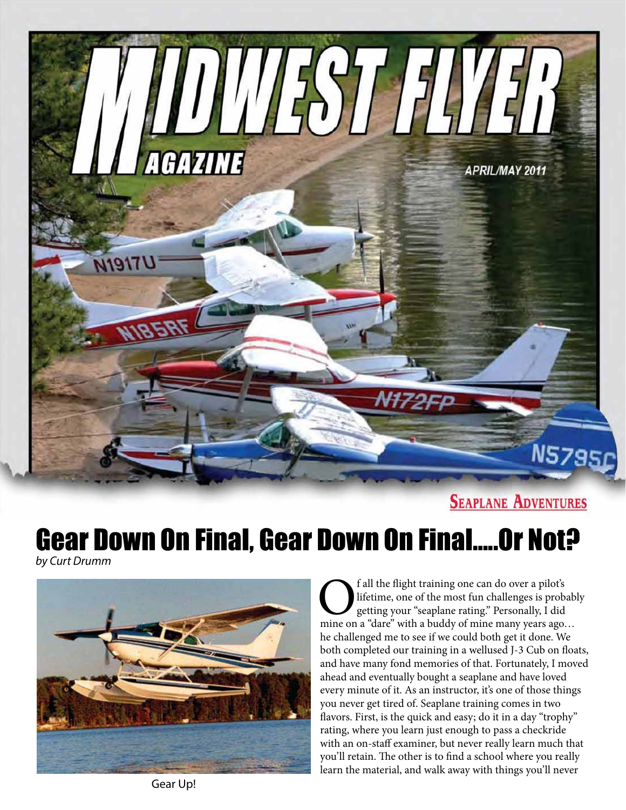

**SEAPLANE ADVENTURES** 

## Gear Down On Final, Gear Down On Final…..Or Not?

*by Curt Drumm*



**C**<br>If all the flight training one can do over a pilot's<br>getting, one of the most fun challenges is prob-<br>getting your "seaplane rating." Personally, I did<br>mine on a "dare" with a buddy of mine many years ago. lifetime, one of the most fun challenges is probably getting your "seaplane rating." Personally, I did mine on a "dare" with a buddy of mine many years ago… he challenged me to see if we could both get it done. We both completed our training in a wellused J-3 Cub on floats, and have many fond memories of that. Fortunately, I moved ahead and eventually bought a seaplane and have loved every minute of it. As an instructor, it's one of those things you never get tired of. Seaplane training comes in two flavors. First, is the quick and easy; do it in a day "trophy" rating, where you learn just enough to pass a checkride with an on-staff examiner, but never really learn much that you'll retain. The other is to find a school where you really learn the material, and walk away with things you'll never

Gear Up!